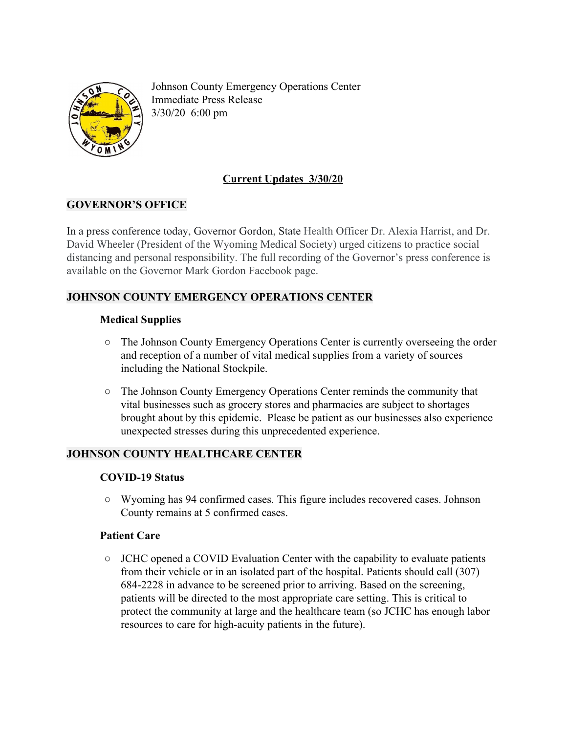

Johnson County Emergency Operations Center Immediate Press Release 3/30/20 6:00 pm

# **Current Updates 3/30/20**

# **GOVERNOR'S OFFICE**

In a press conference today, Governor Gordon, State Health Officer Dr. Alexia Harrist, and Dr. David Wheeler (President of the Wyoming Medical Society) urged citizens to practice social distancing and personal responsibility. The full recording of the Governor's press conference is available on the Governor Mark Gordon Facebook page.

# **JOHNSON COUNTY EMERGENCY OPERATIONS CENTER**

### **Medical Supplies**

- **○** The Johnson County Emergency Operations Center is currently overseeing the order and reception of a number of vital medical supplies from a variety of sources including the National Stockpile.
- **○** The Johnson County Emergency Operations Center reminds the community that vital businesses such as grocery stores and pharmacies are subject to shortages brought about by this epidemic. Please be patient as our businesses also experience unexpected stresses during this unprecedented experience.

# **JOHNSON COUNTY HEALTHCARE CENTER**

#### **COVID-19 Status**

**○** Wyoming has 94 confirmed cases. This figure includes recovered cases. Johnson County remains at 5 confirmed cases.

#### **Patient Care**

**○** JCHC opened a COVID Evaluation Center with the capability to evaluate patients from their vehicle or in an isolated part of the hospital. Patients should call (307) 684-2228 in advance to be screened prior to arriving. Based on the screening, patients will be directed to the most appropriate care setting. This is critical to protect the community at large and the healthcare team (so JCHC has enough labor resources to care for high-acuity patients in the future).